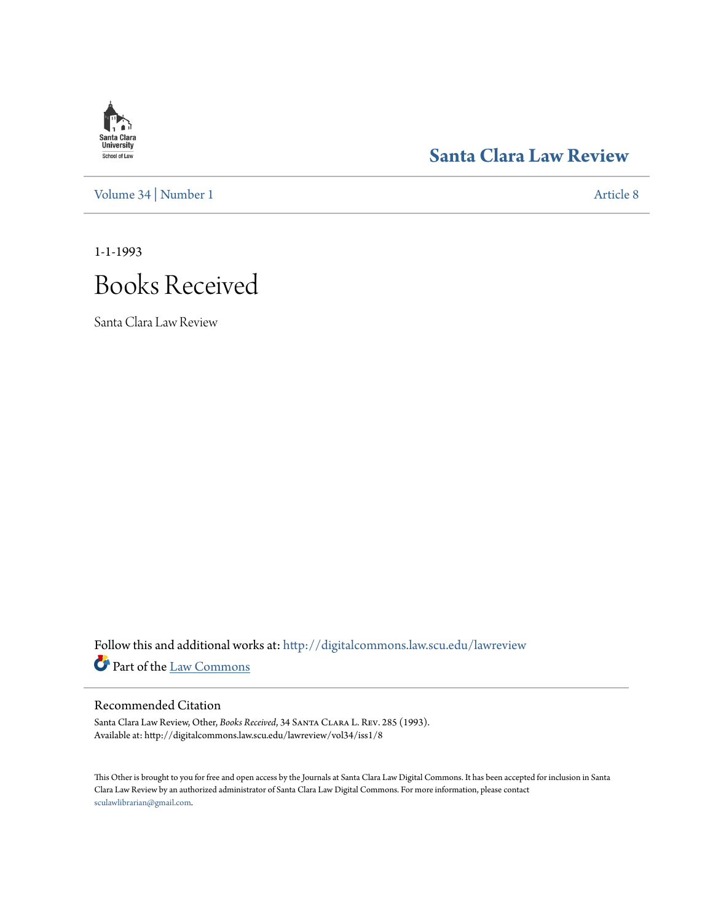## **Santa Clara**<br>**University** School of Law

### **[Santa Clara Law Review](http://digitalcommons.law.scu.edu/lawreview?utm_source=digitalcommons.law.scu.edu%2Flawreview%2Fvol34%2Fiss1%2F8&utm_medium=PDF&utm_campaign=PDFCoverPages)**

[Volume 34](http://digitalcommons.law.scu.edu/lawreview/vol34?utm_source=digitalcommons.law.scu.edu%2Flawreview%2Fvol34%2Fiss1%2F8&utm_medium=PDF&utm_campaign=PDFCoverPages) | [Number 1](http://digitalcommons.law.scu.edu/lawreview/vol34/iss1?utm_source=digitalcommons.law.scu.edu%2Flawreview%2Fvol34%2Fiss1%2F8&utm_medium=PDF&utm_campaign=PDFCoverPages) [Article 8](http://digitalcommons.law.scu.edu/lawreview/vol34/iss1/8?utm_source=digitalcommons.law.scu.edu%2Flawreview%2Fvol34%2Fiss1%2F8&utm_medium=PDF&utm_campaign=PDFCoverPages)

1-1-1993

# Books Received

Santa Clara Law Review

Follow this and additional works at: [http://digitalcommons.law.scu.edu/lawreview](http://digitalcommons.law.scu.edu/lawreview?utm_source=digitalcommons.law.scu.edu%2Flawreview%2Fvol34%2Fiss1%2F8&utm_medium=PDF&utm_campaign=PDFCoverPages) Part of the [Law Commons](http://network.bepress.com/hgg/discipline/578?utm_source=digitalcommons.law.scu.edu%2Flawreview%2Fvol34%2Fiss1%2F8&utm_medium=PDF&utm_campaign=PDFCoverPages)

#### Recommended Citation

Santa Clara Law Review, Other, *Books Received*, 34 Santa Clara L. Rev. 285 (1993). Available at: http://digitalcommons.law.scu.edu/lawreview/vol34/iss1/8

This Other is brought to you for free and open access by the Journals at Santa Clara Law Digital Commons. It has been accepted for inclusion in Santa Clara Law Review by an authorized administrator of Santa Clara Law Digital Commons. For more information, please contact [sculawlibrarian@gmail.com](mailto:sculawlibrarian@gmail.com).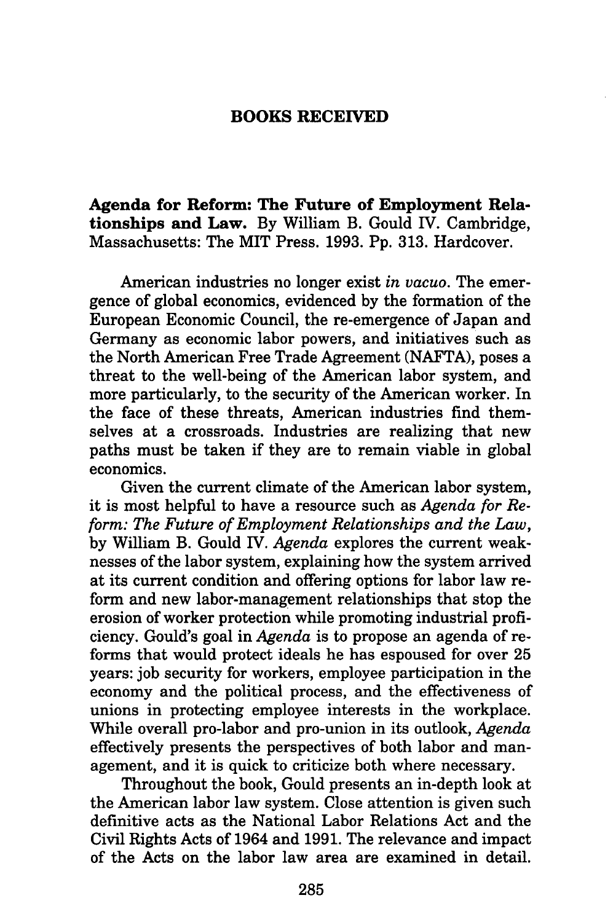#### **BOOKS RECEIVED**

**Agenda for Reform: The Future of Employment Relationships and Law. By William B. Gould** IV. Cambridge, Massachusetts: The MIT Press. **1993. Pp. 313.** Hardcover.

American industries no longer exist *in vacuo.* The emergence of global economics, evidenced **by** the formation of the European Economic Council, the re-emergence of Japan and Germany as economic labor powers, and initiatives such as the North American Free Trade Agreement **(NAFTA),** poses a threat to the well-being of the American labor system, and more particularly, to the security of the American worker. In the face of these threats, American industries find themselves at a crossroads. Industries are realizing that new paths must be taken if they are to remain viable in global economics.

Given the current climate of the American labor system, it is most helpful to have a resource such as *Agenda for Reform: The Future of Employment Relationships and the Law,* by William B. Gould IV. *Agenda* explores the current weaknesses of the labor system, explaining how the system arrived at its current condition and offering options for labor law reform and new labor-management relationships that stop the erosion of worker protection while promoting industrial proficiency. Gould's goal in *Agenda* is to propose an agenda of reforms that would protect ideals he has espoused for over 25 years: job security for workers, employee participation in the economy and the political process, and the effectiveness of unions in protecting employee interests in the workplace. While overall pro-labor and pro-union in its outlook, *Agenda* effectively presents the perspectives of both labor and management, and it is quick to criticize both where necessary.

Throughout the book, Gould presents an in-depth look at the American labor law system. Close attention is given such definitive acts as the National Labor Relations Act and the Civil Rights Acts of 1964 and 1991. The relevance and impact of the Acts on the labor law area are examined in detail.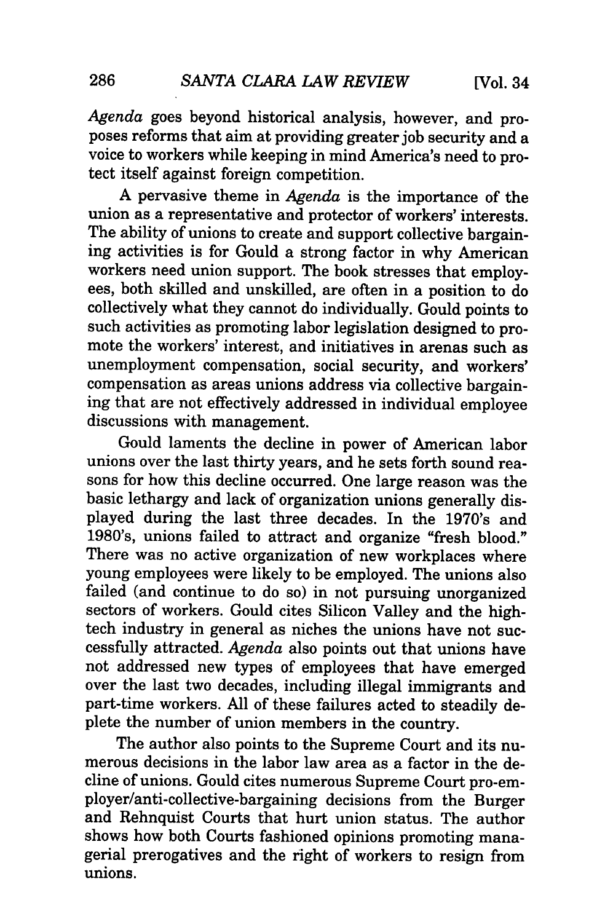*Agenda* goes beyond historical analysis, however, and proposes reforms that aim at providing greater job security and a voice to workers while keeping in mind America's need to protect itself against foreign competition.

A pervasive theme in *Agenda* is the importance of the union as a representative and protector of workers' interests. The ability of unions to create and support collective bargaining activities is for Gould a strong factor in why American workers need union support. The book stresses that employees, both skilled and unskilled, are often in a position to do collectively what they cannot do individually. Gould points to such activities as promoting labor legislation designed to promote the workers' interest, and initiatives in arenas such as unemployment compensation, social security, and workers' compensation as areas unions address via collective bargaining that are not effectively addressed in individual employee discussions with management.

Gould laments the decline in power of American labor unions over the last thirty years, and he sets forth sound reasons for how this decline occurred. One large reason was the basic lethargy and lack of organization unions generally displayed during the last three decades. In the 1970's and 1980's, unions failed to attract and organize "fresh blood." There was no active organization of new workplaces where young employees were likely to be employed. The unions also failed (and continue to do so) in not pursuing unorganized sectors of workers. Gould cites Silicon Valley and the hightech industry in general as niches the unions have not successfully attracted. *Agenda* also points out that unions have not addressed new types of employees that have emerged over the last two decades, including illegal immigrants and part-time workers. All of these failures acted to steadily deplete the number of union members in the country.

The author also points to the Supreme Court and its numerous decisions in the labor law area as a factor in the decline of unions. Gould cites numerous Supreme Court pro-employer/anti-collective-bargaining decisions from the Burger and Rehnquist Courts that hurt union status. The author shows how both Courts fashioned opinions promoting managerial prerogatives and the right of workers to resign from unions.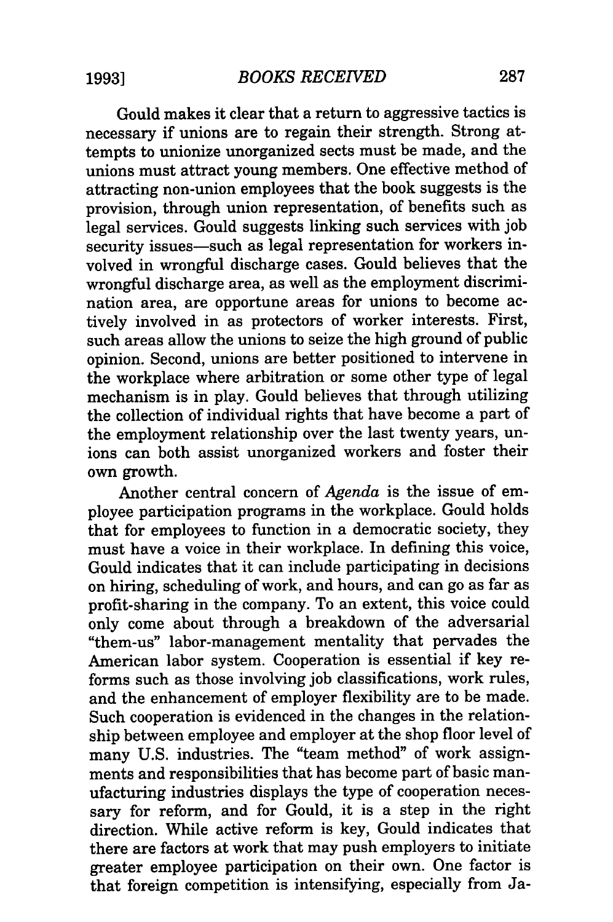Gould makes it clear that a return to aggressive tactics is necessary if unions are to regain their strength. Strong attempts to unionize unorganized sects must be made, and the unions must attract young members. One effective method of attracting non-union employees that the book suggests is the provision, through union representation, of benefits such as legal services. Gould suggests linking such services with job security issues-such as legal representation for workers involved in wrongful discharge cases. Gould believes that the wrongful discharge area, as well as the employment discrimination area, are opportune areas for unions to become actively involved in as protectors of worker interests. First, such areas allow the unions to seize the high ground of public opinion. Second, unions are better positioned to intervene in the workplace where arbitration or some other type of legal mechanism is in play. Gould believes that through utilizing the collection of individual rights that have become a part of the employment relationship over the last twenty years, unions can both assist unorganized workers and foster their own growth.

Another central concern of *Agenda* is the issue of employee participation programs in the workplace. Gould holds that for employees to function in a democratic society, they must have a voice in their workplace. In defining this voice, Gould indicates that it can include participating in decisions on hiring, scheduling of work, and hours, and can go as far as profit-sharing in the company. To an extent, this voice could only come about through a breakdown of the adversarial "them-us" labor-management mentality that pervades the American labor system. Cooperation is essential if key reforms such as those involving job classifications, work rules, and the enhancement of employer flexibility are to be made. Such cooperation is evidenced in the changes in the relationship between employee and employer at the shop floor level of many U.S. industries. The "team method" of work assignments and responsibilities that has become part of basic manufacturing industries displays the type of cooperation necessary for reform, and for Gould, it is a step in the right direction. While active reform is key, Gould indicates that there are factors at work that may push employers to initiate greater employee participation on their own. One factor is that foreign competition is intensifying, especially from Ja-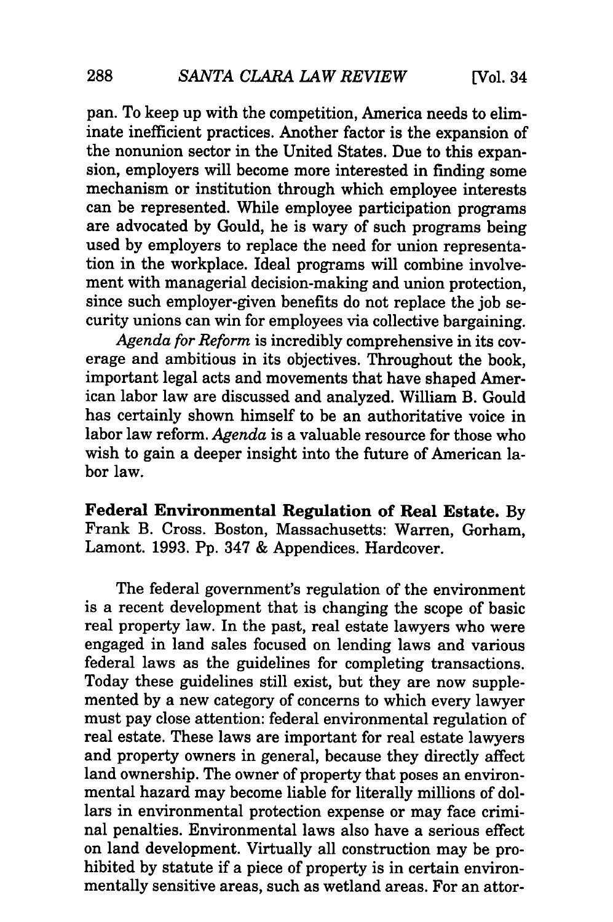pan. To keep up with the competition, America needs to eliminate inefficient practices. Another factor is the expansion of the nonunion sector in the United States. Due to this expansion, employers will become more interested in finding some mechanism or institution through which employee interests can be represented. While employee participation programs are advocated by Gould, he is wary of such programs being used by employers to replace the need for union representation in the workplace. Ideal programs will combine involvement with managerial decision-making and union protection, since such employer-given benefits do not replace the job security unions can win for employees via collective bargaining.

*Agenda for Reform* is incredibly comprehensive in its coverage and ambitious in its objectives. Throughout the book, important legal acts and movements that have shaped American labor law are discussed and analyzed. William B. Gould has certainly shown himself to be an authoritative voice in labor law reform. *Agenda* is a valuable resource for those who wish to gain a deeper insight into the future of American labor law.

Federal Environmental Regulation of Real Estate. **By** Frank B. Cross. Boston, Massachusetts: Warren, Gorham, Lamont. **1993. Pp.** 347 **&** Appendices. Hardcover.

The federal government's regulation of the environment is a recent development that is changing the scope of basic real property law. In the past, real estate lawyers who were engaged in land sales focused on lending laws and various federal laws as the guidelines for completing transactions. Today these guidelines still exist, but they are now supplemented **by** a new category of concerns to which every lawyer must pay close attention: federal environmental regulation of real estate. These laws are important for real estate lawyers and property owners in general, because they directly affect land ownership. The owner of property that poses an environmental hazard may become liable for literally millions of dollars in environmental protection expense or may face criminal penalties. Environmental laws also have a serious effect on land development. Virtually all construction may be prohibited **by** statute if a piece of property is in certain environmentally sensitive areas, such as wetland areas. For an attor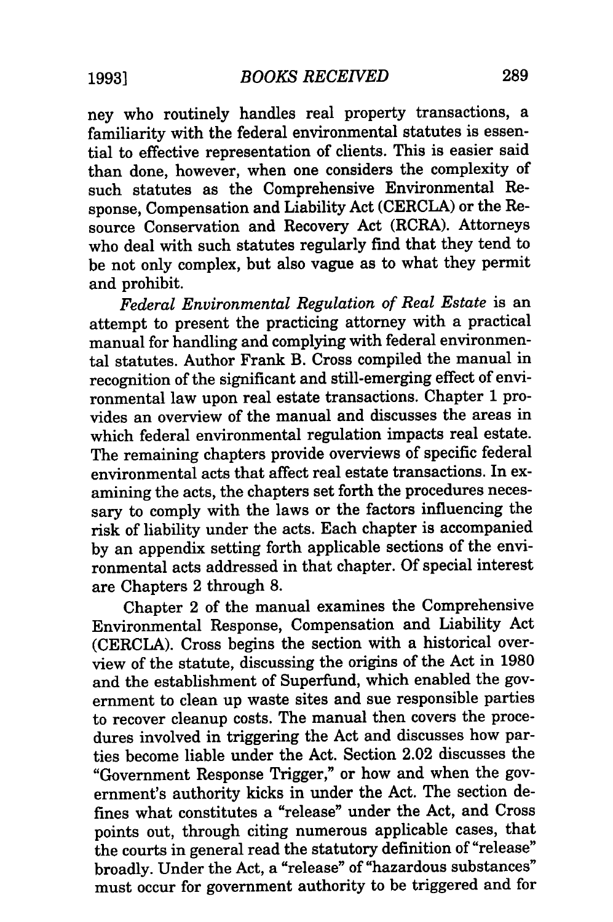ney who routinely handles real property transactions, a familiarity with the federal environmental statutes is essential to effective representation of clients. This is easier said than done, however, when one considers the complexity of such statutes as the Comprehensive Environmental Response, Compensation and Liability Act (CERCLA) or the Resource Conservation and Recovery Act (RCRA). Attorneys who deal with such statutes regularly find that they tend to be not only complex, but also vague as to what they permit and prohibit.

*Federal Environmental Regulation of Real Estate* is an attempt to present the practicing attorney with a practical manual for handling and complying with federal environmental statutes. Author Frank B. Cross compiled the manual in recognition of the significant and still-emerging effect of environmental law upon real estate transactions. Chapter 1 provides an overview of the manual and discusses the areas in which federal environmental regulation impacts real estate. The remaining chapters provide overviews of specific federal environmental acts that affect real estate transactions. In examining the acts, the chapters set forth the procedures necessary to comply with the laws or the factors influencing the risk of liability under the acts. Each chapter is accompanied by an appendix setting forth applicable sections of the environmental acts addressed in that chapter. Of special interest are Chapters 2 through 8.

Chapter 2 of the manual examines the Comprehensive Environmental Response, Compensation and Liability Act (CERCLA). Cross begins the section with a historical overview of the statute, discussing the origins of the Act in 1980 and the establishment of Superfund, which enabled the government to clean up waste sites and sue responsible parties to recover cleanup costs. The manual then covers the procedures involved in triggering the Act and discusses how parties become liable under the Act. Section 2.02 discusses the "Government Response Trigger," or how and when the government's authority kicks in under the Act. The section defines what constitutes a "release" under the Act, and Cross points out, through citing numerous applicable cases, that the courts in general read the statutory definition of "release" broadly. Under the Act, a "release" of "hazardous substances" must occur for government authority to be triggered and for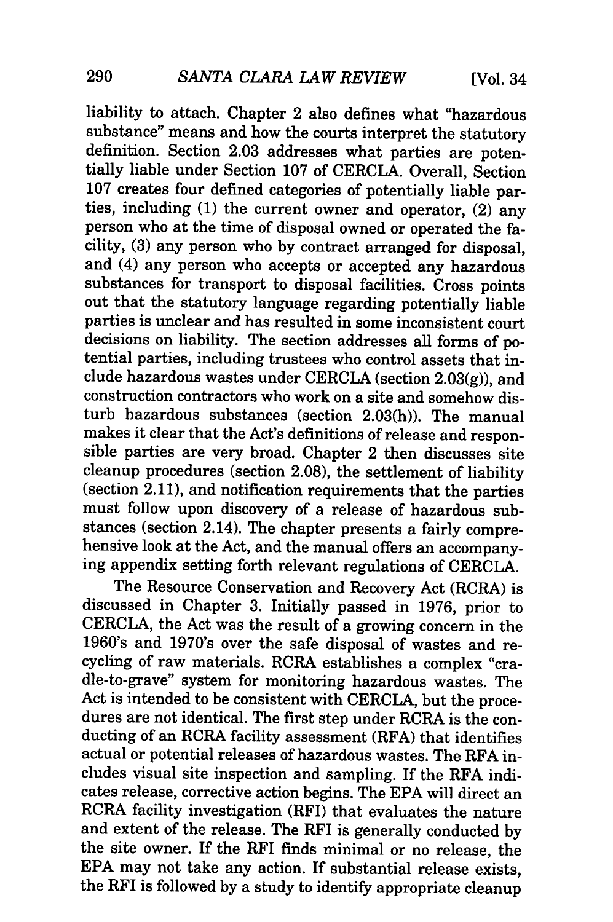liability to attach. Chapter 2 also defines what "hazardous substance" means and how the courts interpret the statutory definition. Section 2.03 addresses what parties are potentially liable under Section 107 of CERCLA. Overall, Section 107 creates four defined categories of potentially liable parties, including (1) the current owner and operator, (2) any person who at the time of disposal owned or operated the facility, (3) any person who by contract arranged for disposal, and (4) any person who accepts or accepted any hazardous substances for transport to disposal facilities. Cross points out that the statutory language regarding potentially liable parties is unclear and has resulted in some inconsistent court decisions on liability. The section addresses all forms of potential parties, including trustees who control assets that include hazardous wastes under CERCLA (section 2.03(g)), and construction contractors who work on a site and somehow disturb hazardous substances (section 2.03(h)). The manual makes it clear that the Act's definitions of release and responsible parties are very broad. Chapter 2 then discusses site cleanup procedures (section 2.08), the settlement of liability (section 2.11), and notification requirements that the parties must follow upon discovery of a release of hazardous substances (section 2.14). The chapter presents a fairly compre- hensive look at the Act, and the manual offers an accompanying appendix setting forth relevant regulations of CERCLA.

The Resource Conservation and Recovery Act (RCRA) is discussed in Chapter 3. Initially passed in 1976, prior to CERCLA, the Act was the result of a growing concern in the 1960's and 1970's over the safe disposal of wastes and recycling of raw materials. RCRA establishes a complex "cradle-to-grave" system for monitoring hazardous wastes. The Act is intended to be consistent with CERCLA, but the procedures are not identical. The first step under RCRA is the conducting of an RCRA facility assessment (RFA) that identifies actual or potential releases of hazardous wastes. The RFA includes visual site inspection and sampling. If the RFA indicates release, corrective action begins. The EPA will direct an RCRA facility investigation (RFI) that evaluates the nature and extent of the release. The RFI is generally conducted by the site owner. If the RFI finds minimal or no release, the EPA may not take any action. If substantial release exists, the RFI is followed by a study to identify appropriate cleanup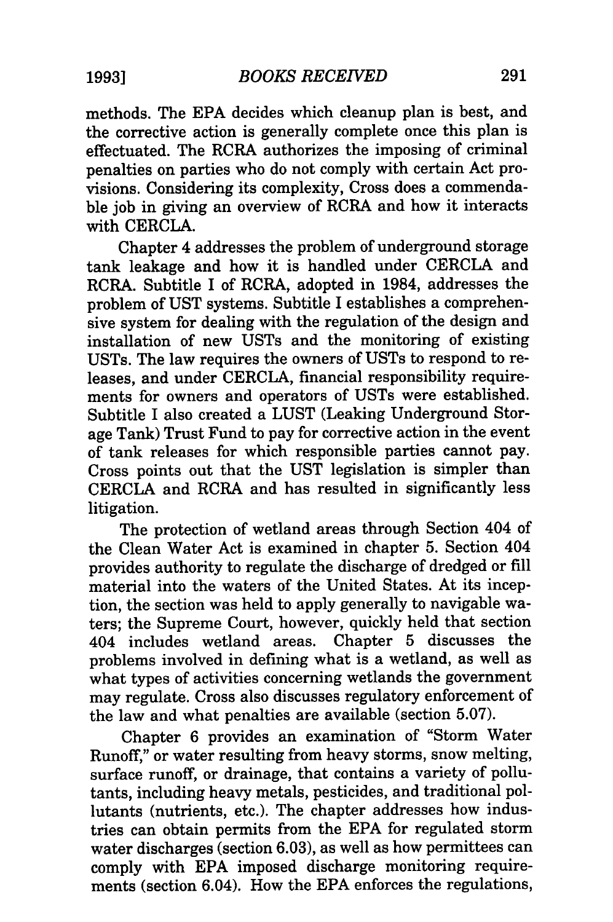methods. The EPA decides which cleanup plan is best, and the corrective action is generally complete once this plan is effectuated. The RCRA authorizes the imposing of criminal penalties on parties who do not comply with certain Act provisions. Considering its complexity, Cross does a commendable job in giving an overview of RCRA and how it interacts with CERCLA.

Chapter 4 addresses the problem of underground storage tank leakage and how it is handled under CERCLA and RCRA. Subtitle I of RCRA, adopted in 1984, addresses the problem of UST systems. Subtitle I establishes a comprehensive system for dealing with the regulation of the design and installation of new USTs and the monitoring of existing USTs. The law requires the owners of USTs to respond to releases, and under CERCLA, financial responsibility requirements for owners and operators of USTs were established. Subtitle I also created a LUST (Leaking Underground Storage Tank) Trust Fund to pay for corrective action in the event of tank releases for which responsible parties cannot pay. Cross points out that the UST legislation is simpler than CERCLA and RCRA and has resulted in significantly less litigation.

The protection of wetland areas through Section 404 of the Clean Water Act is examined in chapter 5. Section 404 provides authority to regulate the discharge of dredged or fill material into the waters of the United States. At its inception, the section was held to apply generally to navigable waters; the Supreme Court, however, quickly held that section 404 includes wetland areas. Chapter 5 discusses the problems involved in defining what is a wetland, as well as what types of activities concerning wetlands the government may regulate. Cross also discusses regulatory enforcement of the law and what penalties are available (section 5.07).

Chapter 6 provides an examination of "Storm Water Runoff," or water resulting from heavy storms, snow melting, surface runoff, or drainage, that contains a variety of pollutants, including heavy metals, pesticides, and traditional pollutants (nutrients, etc.). The chapter addresses how industries can obtain permits from the EPA for regulated storm water discharges (section 6.03), as well as how permittees can comply with EPA imposed discharge monitoring requirements (section 6.04). How the EPA enforces the regulations,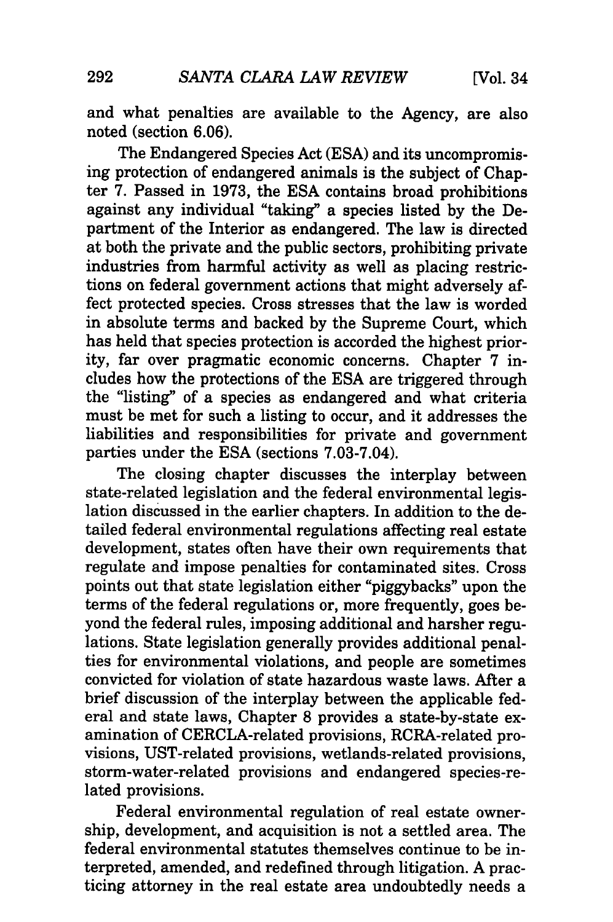and what penalties are available to the Agency, are also noted (section 6.06).

The Endangered Species Act (ESA) and its uncompromising protection of endangered animals is the subject of Chapter 7. Passed in 1973, the ESA contains broad prohibitions against any individual "taking" a species listed by the Department of the Interior as endangered. The law is directed at both the private and the public sectors, prohibiting private industries from harmful activity as well as placing restrictions on federal government actions that might adversely affect protected species. Cross stresses that the law is worded in absolute terms and backed by the Supreme Court, which has held that species protection is accorded the highest priority, far over pragmatic economic concerns. Chapter 7 includes how the protections of the ESA are triggered through the "listing" of a species as endangered and what criteria must be met for such a listing to occur, and it addresses the liabilities and responsibilities for private and government parties under the ESA (sections 7.03-7.04).

The closing chapter discusses the interplay between state-related legislation and the federal environmental legislation discussed in the earlier chapters. In addition to the detailed federal environmental regulations affecting real estate development, states often have their own requirements that regulate and impose penalties for contaminated sites. Cross points out that state legislation either "piggybacks" upon the terms of the federal regulations or, more frequently, goes beyond the federal rules, imposing additional and harsher regulations. State legislation generally provides additional penalties for environmental violations, and people are sometimes convicted for violation of state hazardous waste laws. After a brief discussion of the interplay between the applicable federal and state laws, Chapter 8 provides a state-by-state examination of CERCLA-related provisions, RCRA-related provisions, UST-related provisions, wetlands-related provisions, storm-water-related provisions and endangered species-related provisions.

Federal environmental regulation of real estate ownership, development, and acquisition is not a settled area. The federal environmental statutes themselves continue to be interpreted, amended, and redefined through litigation. A practicing attorney in the real estate area undoubtedly needs a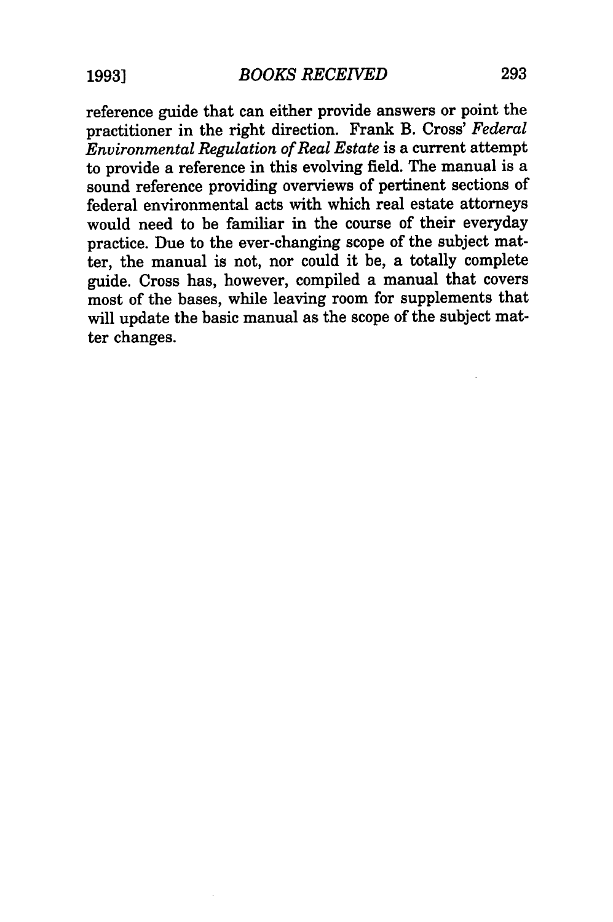reference guide that can either provide answers or point the practitioner in the right direction. Frank B. Cross' *Federal Environmental Regulation of Real Estate* is a current attempt to provide a reference in this evolving field. The manual is a sound reference providing overviews of pertinent sections of federal environmental acts with which real estate attorneys would need to be familiar in the course of their everyday practice. Due to the ever-changing scope of the subject matter, the manual is not, nor could it be, a totally complete guide. Cross has, however, compiled a manual that covers most of the bases, while leaving room for supplements that will update the basic manual as the scope of the subject matter changes.